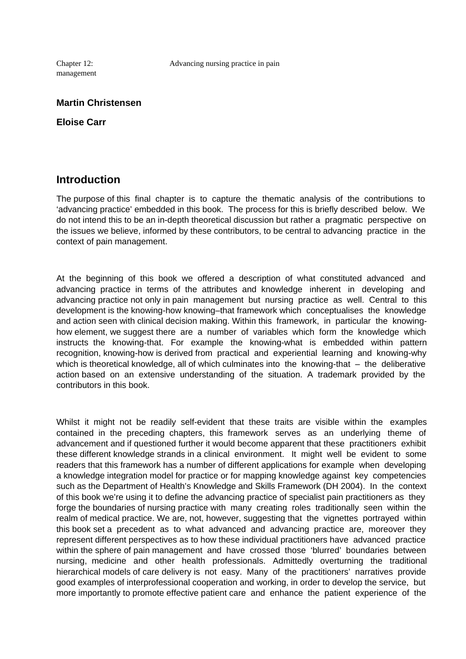management

**Martin Christensen**

**Eloise Carr**

### **Introduction**

The purpose of this final chapter is to capture the thematic analysis of the contributions to 'advancing practice' embedded in this book. The process for this is briefly described below. We do not intend this to be an in-depth theoretical discussion but rather a pragmatic perspective on the issues we believe, informed by these contributors, to be central to advancing practice in the context of pain management.

At the beginning of this book we offered a description of what constituted advanced and advancing practice in terms of the attributes and knowledge inherent in developing and advancing practice not only in pain management but nursing practice as well. Central to this development is the knowing-how knowing–that framework which conceptualises the knowledge and action seen with clinical decision making. Within this framework, in particular the knowinghow element, we suggest there are a number of variables which form the knowledge which instructs the knowing-that. For example the knowing-what is embedded within pattern recognition, knowing-how is derived from practical and experiential learning and knowing-why which is theoretical knowledge, all of which culminates into the knowing-that – the deliberative action based on an extensive understanding of the situation. A trademark provided by the contributors in this book.

Whilst it might not be readily self-evident that these traits are visible within the examples contained in the preceding chapters, this framework serves as an underlying theme of advancement and if questioned further it would become apparent that these practitioners exhibit these different knowledge strands in a clinical environment. It might well be evident to some readers that this framework has a number of different applications for example when developing a knowledge integration model for practice or for mapping knowledge against key competencies such as the Department of Health's Knowledge and Skills Framework (DH 2004). In the context of this book we're using it to define the advancing practice of specialist pain practitioners as they forge the boundaries of nursing practice with many creating roles traditionally seen within the realm of medical practice. We are, not, however, suggesting that the vignettes portrayed within this book set a precedent as to what advanced and advancing practice are, moreover they represent different perspectives as to how these individual practitioners have advanced practice within the sphere of pain management and have crossed those 'blurred' boundaries between nursing, medicine and other health professionals. Admittedly overturning the traditional hierarchical models of care delivery is not easy. Many of the practitioners' narratives provide good examples of interprofessional cooperation and working, in order to develop the service, but more importantly to promote effective patient care and enhance the patient experience of the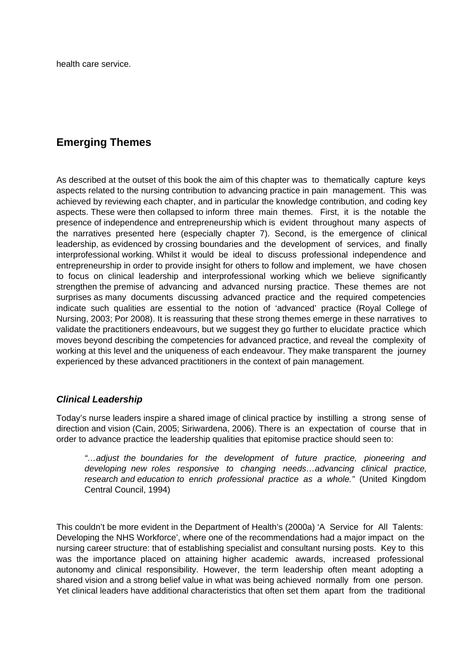health care service.

# **Emerging Themes**

As described at the outset of this book the aim of this chapter was to thematically capture keys aspects related to the nursing contribution to advancing practice in pain management. This was achieved by reviewing each chapter, and in particular the knowledge contribution, and coding key aspects. These were then collapsed to inform three main themes. First, it is the notable the presence of independence and entrepreneurship which is evident throughout many aspects of the narratives presented here (especially chapter 7). Second, is the emergence of clinical leadership, as evidenced by crossing boundaries and the development of services, and finally interprofessional working. Whilst it would be ideal to discuss professional independence and entrepreneurship in order to provide insight for others to follow and implement, we have chosen to focus on clinical leadership and interprofessional working which we believe significantly strengthen the premise of advancing and advanced nursing practice. These themes are not surprises as many documents discussing advanced practice and the required competencies indicate such qualities are essential to the notion of 'advanced' practice (Royal College of Nursing, 2003; Por 2008). It is reassuring that these strong themes emerge in these narratives to validate the practitioners endeavours, but we suggest they go further to elucidate practice which moves beyond describing the competencies for advanced practice, and reveal the complexity of working at this level and the uniqueness of each endeavour. They make transparent the journey experienced by these advanced practitioners in the context of pain management.

### **Clinical Leadership**

Today's nurse leaders inspire a shared image of clinical practice by instilling a strong sense of direction and vision (Cain, 2005; Siriwardena, 2006). There is an expectation of course that in order to advance practice the leadership qualities that epitomise practice should seen to:

"…adjust the boundaries for the development of future practice, pioneering and developing new roles responsive to changing needs…advancing clinical practice, research and education to enrich professional practice as a whole." (United Kingdom Central Council, 1994)

This couldn't be more evident in the Department of Health's (2000a) 'A Service for All Talents: Developing the NHS Workforce', where one of the recommendations had a major impact on the nursing career structure: that of establishing specialist and consultant nursing posts. Key to this was the importance placed on attaining higher academic awards, increased professional autonomy and clinical responsibility. However, the term leadership often meant adopting a shared vision and a strong belief value in what was being achieved normally from one person. Yet clinical leaders have additional characteristics that often set them apart from the traditional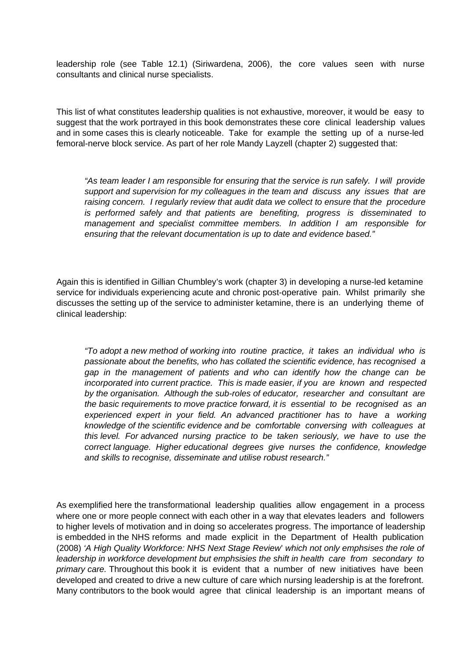leadership role (see Table 12.1) (Siriwardena, 2006), the core values seen with nurse consultants and clinical nurse specialists.

This list of what constitutes leadership qualities is not exhaustive, moreover, it would be easy to suggest that the work portrayed in this book demonstrates these core clinical leadership values and in some cases this is clearly noticeable. Take for example the setting up of a nurse-led femoral-nerve block service. As part of her role Mandy Layzell (chapter 2) suggested that:

"As team leader I am responsible for ensuring that the service is run safely. I will provide support and supervision for my colleagues in the team and discuss any issues that are raising concern. I regularly review that audit data we collect to ensure that the procedure is performed safely and that patients are benefiting, progress is disseminated to management and specialist committee members. In addition I am responsible for ensuring that the relevant documentation is up to date and evidence based."

Again this is identified in Gillian Chumbley's work (chapter 3) in developing a nurse-led ketamine service for individuals experiencing acute and chronic post-operative pain. Whilst primarily she discusses the setting up of the service to administer ketamine, there is an underlying theme of clinical leadership:

"To adopt a new method of working into routine practice, it takes an individual who is passionate about the benefits, who has collated the scientific evidence, has recognised a gap in the management of patients and who can identify how the change can be incorporated into current practice. This is made easier, if you are known and respected by the organisation. Although the sub-roles of educator, researcher and consultant are the basic requirements to move practice forward, it is essential to be recognised as an experienced expert in your field. An advanced practitioner has to have a working knowledge of the scientific evidence and be comfortable conversing with colleagues at this level. For advanced nursing practice to be taken seriously, we have to use the correct language. Higher educational degrees give nurses the confidence, knowledge and skills to recognise, disseminate and utilise robust research."

As exemplified here the transformational leadership qualities allow engagement in a process where one or more people connect with each other in a way that elevates leaders and followers to higher levels of motivation and in doing so accelerates progress. The importance of leadership is embedded in the NHS reforms and made explicit in the Department of Health publication (2008) 'A High Quality Workforce: NHS Next Stage Review' which not only emphsises the role of leadership in workforce development but emphsisies the shift in health care from secondary to primary care. Throughout this book it is evident that a number of new initiatives have been developed and created to drive a new culture of care which nursing leadership is at the forefront. Many contributors to the book would agree that clinical leadership is an important means of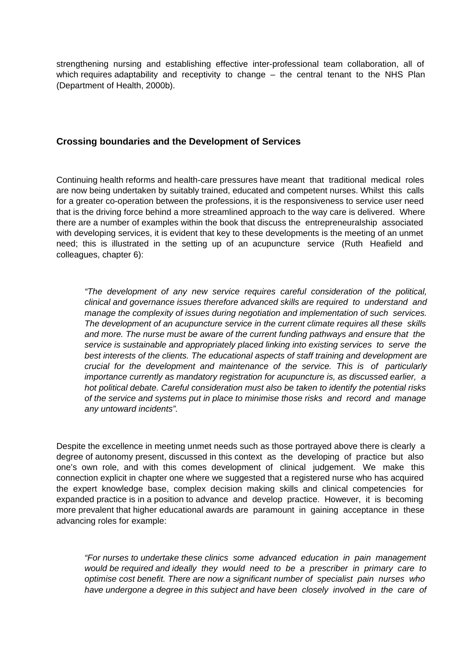strengthening nursing and establishing effective inter-professional team collaboration, all of which requires adaptability and receptivity to change – the central tenant to the NHS Plan (Department of Health, 2000b).

#### **Crossing boundaries and the Development of Services**

Continuing health reforms and health-care pressures have meant that traditional medical roles are now being undertaken by suitably trained, educated and competent nurses. Whilst this calls for a greater co-operation between the professions, it is the responsiveness to service user need that is the driving force behind a more streamlined approach to the way care is delivered. Where there are a number of examples within the book that discuss the entrepreneuralship associated with developing services, it is evident that key to these developments is the meeting of an unmet need; this is illustrated in the setting up of an acupuncture service (Ruth Heafield and colleagues, chapter 6):

"The development of any new service requires careful consideration of the political, clinical and governance issues therefore advanced skills are required to understand and manage the complexity of issues during negotiation and implementation of such services. The development of an acupuncture service in the current climate requires all these skills and more. The nurse must be aware of the current funding pathways and ensure that the service is sustainable and appropriately placed linking into existing services to serve the best interests of the clients. The educational aspects of staff training and development are crucial for the development and maintenance of the service. This is of particularly importance currently as mandatory registration for acupuncture is, as discussed earlier, a hot political debate. Careful consideration must also be taken to identify the potential risks of the service and systems put in place to minimise those risks and record and manage any untoward incidents".

Despite the excellence in meeting unmet needs such as those portrayed above there is clearly a degree of autonomy present, discussed in this context as the developing of practice but also one's own role, and with this comes development of clinical judgement. We make this connection explicit in chapter one where we suggested that a registered nurse who has acquired the expert knowledge base, complex decision making skills and clinical competencies for expanded practice is in a position to advance and develop practice. However, it is becoming more prevalent that higher educational awards are paramount in gaining acceptance in these advancing roles for example:

"For nurses to undertake these clinics some advanced education in pain management would be required and ideally they would need to be a prescriber in primary care to optimise cost benefit. There are now a significant number of specialist pain nurses who have undergone a degree in this subject and have been closely involved in the care of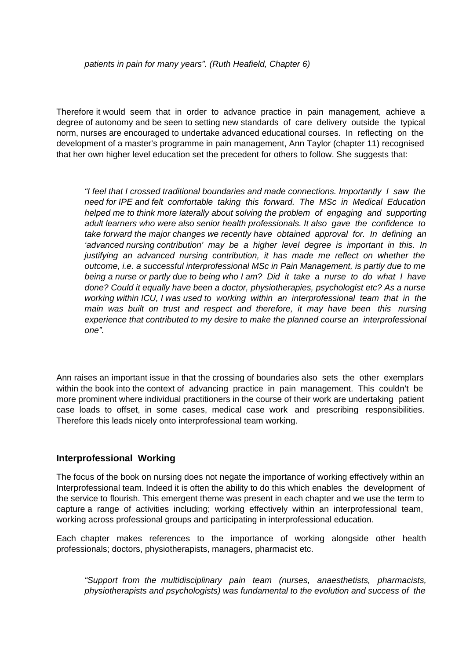Therefore it would seem that in order to advance practice in pain management, achieve a degree of autonomy and be seen to setting new standards of care delivery outside the typical norm, nurses are encouraged to undertake advanced educational courses. In reflecting on the development of a master's programme in pain management, Ann Taylor (chapter 11) recognised that her own higher level education set the precedent for others to follow. She suggests that:

"I feel that I crossed traditional boundaries and made connections. Importantly I saw the need for IPE and felt comfortable taking this forward. The MSc in Medical Education helped me to think more laterally about solving the problem of engaging and supporting adult learners who were also senior health professionals. It also gave the confidence to take forward the major changes we recently have obtained approval for. In defining an 'advanced nursing contribution' may be a higher level degree is important in this. In justifying an advanced nursing contribution, it has made me reflect on whether the outcome, i.e. a successful interprofessional MSc in Pain Management, is partly due to me being a nurse or partly due to being who I am? Did it take a nurse to do what I have done? Could it equally have been a doctor, physiotherapies, psychologist etc? As a nurse working within ICU, I was used to working within an interprofessional team that in the main was built on trust and respect and therefore, it may have been this nursing experience that contributed to my desire to make the planned course an interprofessional one".

Ann raises an important issue in that the crossing of boundaries also sets the other exemplars within the book into the context of advancing practice in pain management. This couldn't be more prominent where individual practitioners in the course of their work are undertaking patient case loads to offset, in some cases, medical case work and prescribing responsibilities. Therefore this leads nicely onto interprofessional team working.

### **Interprofessional Working**

The focus of the book on nursing does not negate the importance of working effectively within an Interprofessional team. Indeed it is often the ability to do this which enables the development of the service to flourish. This emergent theme was present in each chapter and we use the term to capture a range of activities including; working effectively within an interprofessional team, working across professional groups and participating in interprofessional education.

Each chapter makes references to the importance of working alongside other health professionals; doctors, physiotherapists, managers, pharmacist etc.

"Support from the multidisciplinary pain team (nurses, anaesthetists, pharmacists, physiotherapists and psychologists) was fundamental to the evolution and success of the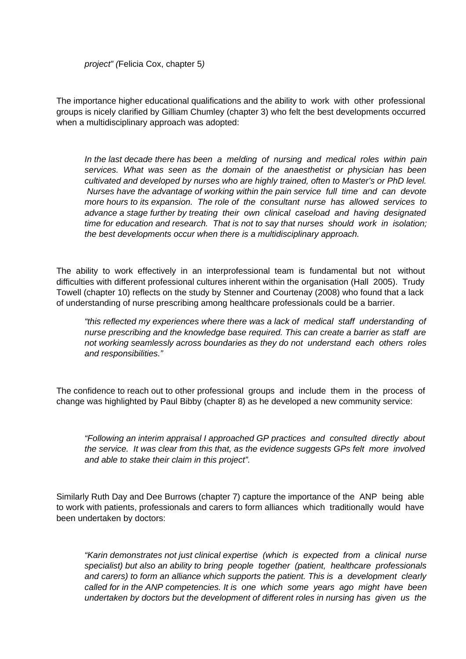The importance higher educational qualifications and the ability to work with other professional groups is nicely clarified by Gilliam Chumley (chapter 3) who felt the best developments occurred when a multidisciplinary approach was adopted:

In the last decade there has been a melding of nursing and medical roles within pain services. What was seen as the domain of the anaesthetist or physician has been cultivated and developed by nurses who are highly trained, often to Master's or PhD level. Nurses have the advantage of working within the pain service full time and can devote more hours to its expansion. The role of the consultant nurse has allowed services to advance a stage further by treating their own clinical caseload and having designated time for education and research. That is not to say that nurses should work in isolation; the best developments occur when there is a multidisciplinary approach.

The ability to work effectively in an interprofessional team is fundamental but not without difficulties with different professional cultures inherent within the organisation (Hall 2005). Trudy Towell (chapter 10) reflects on the study by Stenner and Courtenay (2008) who found that a lack of understanding of nurse prescribing among healthcare professionals could be a barrier.

"this reflected my experiences where there was a lack of medical staff understanding of nurse prescribing and the knowledge base required. This can create a barrier as staff are not working seamlessly across boundaries as they do not understand each others roles and responsibilities."

The confidence to reach out to other professional groups and include them in the process of change was highlighted by Paul Bibby (chapter 8) as he developed a new community service:

"Following an interim appraisal I approached GP practices and consulted directly about the service. It was clear from this that, as the evidence suggests GPs felt more involved and able to stake their claim in this project".

Similarly Ruth Day and Dee Burrows (chapter 7) capture the importance of the ANP being able to work with patients, professionals and carers to form alliances which traditionally would have been undertaken by doctors:

"Karin demonstrates not just clinical expertise (which is expected from a clinical nurse specialist) but also an ability to bring people together (patient, healthcare professionals and carers) to form an alliance which supports the patient. This is a development clearly called for in the ANP competencies. It is one which some years ago might have been undertaken by doctors but the development of different roles in nursing has given us the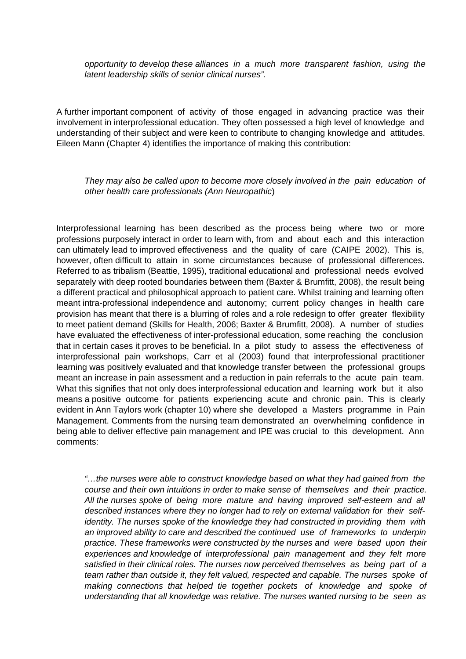opportunity to develop these alliances in a much more transparent fashion, using the latent leadership skills of senior clinical nurses".

A further important component of activity of those engaged in advancing practice was their involvement in interprofessional education. They often possessed a high level of knowledge and understanding of their subject and were keen to contribute to changing knowledge and attitudes. Eileen Mann (Chapter 4) identifies the importance of making this contribution:

They may also be called upon to become more closely involved in the pain education of other health care professionals (Ann Neuropathic)

Interprofessional learning has been described as the process being where two or more professions purposely interact in order to learn with, from and about each and this interaction can ultimately lead to improved effectiveness and the quality of care (CAIPE 2002). This is, however, often difficult to attain in some circumstances because of professional differences. Referred to as tribalism (Beattie, 1995), traditional educational and professional needs evolved separately with deep rooted boundaries between them (Baxter & Brumfitt, 2008), the result being a different practical and philosophical approach to patient care. Whilst training and learning often meant intra-professional independence and autonomy; current policy changes in health care provision has meant that there is a blurring of roles and a role redesign to offer greater flexibility to meet patient demand (Skills for Health, 2006; Baxter & Brumfitt, 2008). A number of studies have evaluated the effectiveness of inter-professional education, some reaching the conclusion that in certain cases it proves to be beneficial. In a pilot study to assess the effectiveness of interprofessional pain workshops, Carr et al (2003) found that interprofessional practitioner learning was positively evaluated and that knowledge transfer between the professional groups meant an increase in pain assessment and a reduction in pain referrals to the acute pain team. What this signifies that not only does interprofessional education and learning work but it also means a positive outcome for patients experiencing acute and chronic pain. This is clearly evident in Ann Taylors work (chapter 10) where she developed a Masters programme in Pain Management. Comments from the nursing team demonstrated an overwhelming confidence in being able to deliver effective pain management and IPE was crucial to this development. Ann comments:

"…the nurses were able to construct knowledge based on what they had gained from the course and their own intuitions in order to make sense of themselves and their practice. All the nurses spoke of being more mature and having improved self-esteem and all described instances where they no longer had to rely on external validation for their selfidentity. The nurses spoke of the knowledge they had constructed in providing them with an improved ability to care and described the continued use of frameworks to underpin practice. These frameworks were constructed by the nurses and were based upon their experiences and knowledge of interprofessional pain management and they felt more satisfied in their clinical roles. The nurses now perceived themselves as being part of a team rather than outside it, they felt valued, respected and capable. The nurses spoke of making connections that helped tie together pockets of knowledge and spoke of understanding that all knowledge was relative. The nurses wanted nursing to be seen as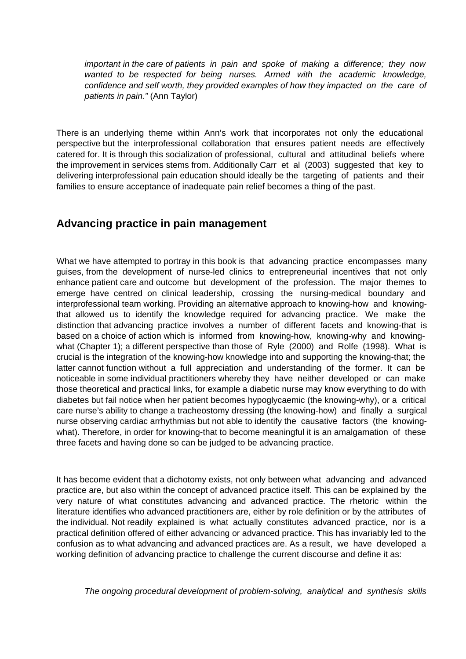important in the care of patients in pain and spoke of making a difference; they now wanted to be respected for being nurses. Armed with the academic knowledge, confidence and self worth, they provided examples of how they impacted on the care of patients in pain." (Ann Taylor)

There is an underlying theme within Ann's work that incorporates not only the educational perspective but the interprofessional collaboration that ensures patient needs are effectively catered for. It is through this socialization of professional, cultural and attitudinal beliefs where the improvement in services stems from. Additionally Carr et al (2003) suggested that key to delivering interprofessional pain education should ideally be the targeting of patients and their families to ensure acceptance of inadequate pain relief becomes a thing of the past.

# **Advancing practice in pain management**

What we have attempted to portray in this book is that advancing practice encompasses many guises, from the development of nurse-led clinics to entrepreneurial incentives that not only enhance patient care and outcome but development of the profession. The major themes to emerge have centred on clinical leadership, crossing the nursing-medical boundary and interprofessional team working. Providing an alternative approach to knowing-how and knowingthat allowed us to identify the knowledge required for advancing practice. We make the distinction that advancing practice involves a number of different facets and knowing-that is based on a choice of action which is informed from knowing-how, knowing-why and knowingwhat (Chapter 1); a different perspective than those of Ryle (2000) and Rolfe (1998). What is crucial is the integration of the knowing-how knowledge into and supporting the knowing-that; the latter cannot function without a full appreciation and understanding of the former. It can be noticeable in some individual practitioners whereby they have neither developed or can make those theoretical and practical links, for example a diabetic nurse may know everything to do with diabetes but fail notice when her patient becomes hypoglycaemic (the knowing-why), or a critical care nurse's ability to change a tracheostomy dressing (the knowing-how) and finally a surgical nurse observing cardiac arrhythmias but not able to identify the causative factors (the knowingwhat). Therefore, in order for knowing-that to become meaningful it is an amalgamation of these three facets and having done so can be judged to be advancing practice.

It has become evident that a dichotomy exists, not only between what advancing and advanced practice are, but also within the concept of advanced practice itself. This can be explained by the very nature of what constitutes advancing and advanced practice. The rhetoric within the literature identifies who advanced practitioners are, either by role definition or by the attributes of the individual. Not readily explained is what actually constitutes advanced practice, nor is a practical definition offered of either advancing or advanced practice. This has invariably led to the confusion as to what advancing and advanced practices are. As a result, we have developed a working definition of advancing practice to challenge the current discourse and define it as:

The ongoing procedural development of problem-solving, analytical and synthesis skills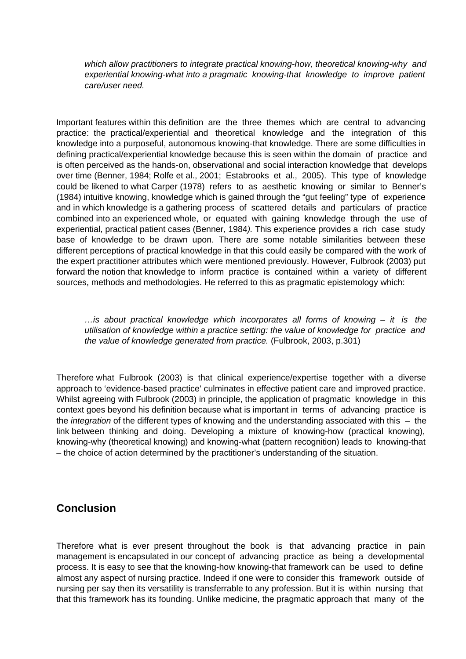which allow practitioners to integrate practical knowing-how, theoretical knowing-why and experiential knowing-what into a pragmatic knowing-that knowledge to improve patient care/user need.

Important features within this definition are the three themes which are central to advancing practice: the practical/experiential and theoretical knowledge and the integration of this knowledge into a purposeful, autonomous knowing-that knowledge. There are some difficulties in defining practical/experiential knowledge because this is seen within the domain of practice and is often perceived as the hands-on, observational and social interaction knowledge that develops over time (Benner, 1984; Rolfe et al., 2001; Estabrooks et al., 2005). This type of knowledge could be likened to what Carper (1978) refers to as aesthetic knowing or similar to Benner's (1984) intuitive knowing, knowledge which is gained through the "gut feeling" type of experience and in which knowledge is a gathering process of scattered details and particulars of practice combined into an experienced whole, or equated with gaining knowledge through the use of experiential, practical patient cases (Benner, 1984). This experience provides a rich case study base of knowledge to be drawn upon. There are some notable similarities between these different perceptions of practical knowledge in that this could easily be compared with the work of the expert practitioner attributes which were mentioned previously. However, Fulbrook (2003) put forward the notion that knowledge to inform practice is contained within a variety of different sources, methods and methodologies. He referred to this as pragmatic epistemology which:

…is about practical knowledge which incorporates all forms of knowing – it is the utilisation of knowledge within a practice setting: the value of knowledge for practice and the value of knowledge generated from practice. (Fulbrook, 2003, p.301)

Therefore what Fulbrook (2003) is that clinical experience/expertise together with a diverse approach to 'evidence-based practice' culminates in effective patient care and improved practice. Whilst agreeing with Fulbrook (2003) in principle, the application of pragmatic knowledge in this context goes beyond his definition because what is important in terms of advancing practice is the *integration* of the different types of knowing and the understanding associated with this  $-$  the link between thinking and doing. Developing a mixture of knowing-how (practical knowing), knowing-why (theoretical knowing) and knowing-what (pattern recognition) leads to knowing-that – the choice of action determined by the practitioner's understanding of the situation.

# **Conclusion**

Therefore what is ever present throughout the book is that advancing practice in pain management is encapsulated in our concept of advancing practice as being a developmental process. It is easy to see that the knowing-how knowing-that framework can be used to define almost any aspect of nursing practice. Indeed if one were to consider this framework outside of nursing per say then its versatility is transferrable to any profession. But it is within nursing that that this framework has its founding. Unlike medicine, the pragmatic approach that many of the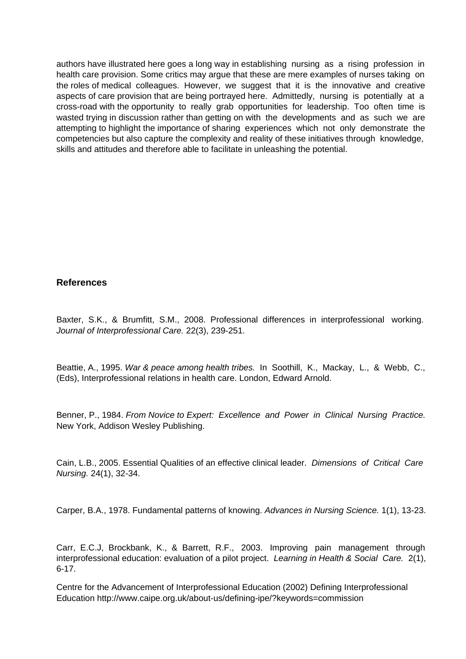authors have illustrated here goes a long way in establishing nursing as a rising profession in health care provision. Some critics may argue that these are mere examples of nurses taking on the roles of medical colleagues. However, we suggest that it is the innovative and creative aspects of care provision that are being portrayed here. Admittedly, nursing is potentially at a cross-road with the opportunity to really grab opportunities for leadership. Too often time is wasted trying in discussion rather than getting on with the developments and as such we are attempting to highlight the importance of sharing experiences which not only demonstrate the competencies but also capture the complexity and reality of these initiatives through knowledge, skills and attitudes and therefore able to facilitate in unleashing the potential.

### **References**

Baxter, S.K., & Brumfitt, S.M., 2008. Professional differences in interprofessional working. Journal of Interprofessional Care. 22(3), 239-251.

Beattie, A., 1995. War & peace among health tribes. In Soothill, K., Mackay, L., & Webb, C., (Eds), Interprofessional relations in health care. London, Edward Arnold.

Benner, P., 1984. From Novice to Expert: Excellence and Power in Clinical Nursing Practice. New York, Addison Wesley Publishing.

Cain, L.B., 2005. Essential Qualities of an effective clinical leader. Dimensions of Critical Care Nursing. 24(1), 32-34.

Carper, B.A., 1978. Fundamental patterns of knowing. Advances in Nursing Science. 1(1), 13-23.

Carr, E.C.J, Brockbank, K., & Barrett, R.F., 2003. Improving pain management through interprofessional education: evaluation of a pilot project. Learning in Health & Social Care. 2(1), 6-17.

Centre for the Advancement of Interprofessional Education (2002) Defining Interprofessional Education http://www.caipe.org.uk/about-us/defining-ipe/?keywords=commission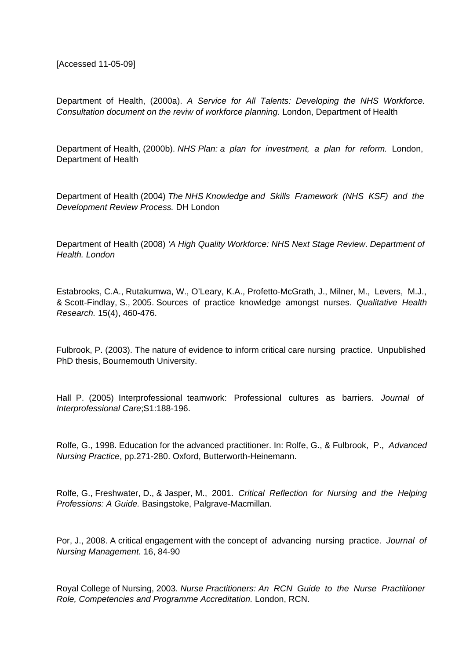[Accessed 11-05-09]

Department of Health, (2000a). A Service for All Talents: Developing the NHS Workforce. Consultation document on the reviw of workforce planning. London, Department of Health

Department of Health, (2000b). NHS Plan: a plan for investment, a plan for reform. London, Department of Health

Department of Health (2004) The NHS Knowledge and Skills Framework (NHS KSF) and the Development Review Process. DH London

Department of Health (2008) 'A High Quality Workforce: NHS Next Stage Review. Department of Health. London

Estabrooks, C.A., Rutakumwa, W., O'Leary, K.A., Profetto-McGrath, J., Milner, M., Levers, M.J., & Scott-Findlay, S., 2005. Sources of practice knowledge amongst nurses. Qualitative Health Research. 15(4), 460-476.

Fulbrook, P. (2003). The nature of evidence to inform critical care nursing practice. Unpublished PhD thesis, Bournemouth University.

Hall P. (2005) Interprofessional teamwork: Professional cultures as barriers. Journal of Interprofessional Care;S1:188-196.

Rolfe, G., 1998. Education for the advanced practitioner. In: Rolfe, G., & Fulbrook, P., Advanced Nursing Practice, pp.271-280. Oxford, Butterworth-Heinemann.

Rolfe, G., Freshwater, D., & Jasper, M., 2001. Critical Reflection for Nursing and the Helping Professions: A Guide. Basingstoke, Palgrave-Macmillan.

Por, J., 2008. A critical engagement with the concept of advancing nursing practice. Journal of Nursing Management. 16, 84-90

Royal College of Nursing, 2003. Nurse Practitioners: An RCN Guide to the Nurse Practitioner Role, Competencies and Programme Accreditation. London, RCN.